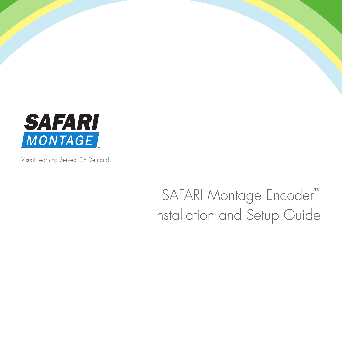

Visual Learning Served On Demand<sub>™</sub>

# SAFARI Montage Encoder™ Installation and Setup Guide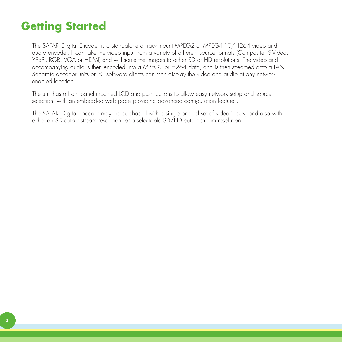# **Getting Started**

The SAFARI Digital Encoder is a standalone or rack-mount MPEG2 or MPEG4-10/H264 video and audio encoder. It can take the video input from a variety of different source formats (Composite, S-Video, YPbPr, RGB, VGA or HDMI) and will scale the images to either SD or HD resolutions. The video and accompanying audio is then encoded into a MPEG2 or H264 data, and is then streamed onto a LAN. Separate decoder units or PC software clients can then display the video and audio at any network enabled location.

The unit has a front panel mounted LCD and push buttons to allow easy network setup and source selection, with an embedded web page providing advanced configuration features.

The SAFARI Digital Encoder may be purchased with a single or dual set of video inputs, and also with either an SD output stream resolution, or a selectable SD/HD output stream resolution.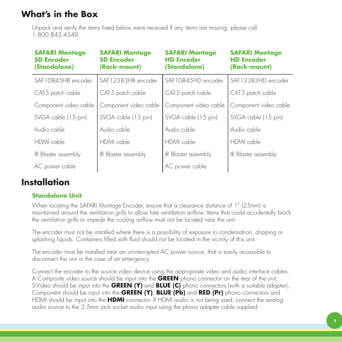## **What's in the Box**

Unpack and verify the items listed below were received If any items are missing, please call 1.800.843.4549.

| <b>SAFARI Montage</b><br><b>SD Encoder</b><br>(Standalone) | <b>SAFARI Montage</b><br><b>SD Encoder</b><br>(Rack-mount) | <b>SAFARI Montage</b><br><b>HD Encoder</b><br>(Standalone) | <b>SAFARI Montage</b><br><b>HD Encoder</b><br>(Rack-mount) |
|------------------------------------------------------------|------------------------------------------------------------|------------------------------------------------------------|------------------------------------------------------------|
| SAF10845HB encoder                                         | SAF12383HB encoder                                         | SAF10845HD encoder                                         | SAF12383HD encoder                                         |
| CAT-5 patch cable                                          | CAT-5 patch cable                                          | CAT-5 patch cable                                          | CAT-5 patch cable                                          |
| Component video cable                                      | Component video cable                                      | Component video cable                                      | Component video cable                                      |
| SVGA cable (15 pin)                                        | SVGA cable (15 pin)                                        | SVGA cable (15 pin)                                        | SVGA cable (15 pin)                                        |
| Audio cable                                                | Audio cable                                                | Audio cable                                                | Audio cable                                                |
| HDMI cable                                                 | HDMI cable                                                 | HDMI cable                                                 | HDMI cable                                                 |
| IR Blaster assembly                                        | IR Blaster assembly                                        | IR Blaster assembly                                        | IR Blaster assembly                                        |
| AC power cable                                             |                                                            | AC power cable                                             |                                                            |

## **Installation**

### **Standalone Unit**

When locating the SAFARI Montage Encoder, ensure that a clearance distance of 1" (25mm) is maintained around the ventilation grills to allow free ventilation airflow. Items that could accidentally block the ventilation grills or impede the cooling airflow must not be located near the unit.

The encoder must not be installed where there is a possibility of exposure to condensation, dripping or splashing liquids. Containers filled with fluid should not be located in the vicinity of this unit.

The encoder must be installed near an uninterrupted AC power source, that is easily accessible to disconnect the unit in the case of an emergency.

Connect the encoder to the source video device using the appropriate video and audio interface cables. A Composite video source should be input into the **GREEN** phono connector on the rear of the unit, S-Video should be input into the **GREEN (Y)** and **BLUE (C)** phono connectors (with a suitable adapter), Component should be input into the **GREEN (Y)**, **BLUE (Pb)** and **RED (Pr)** phono connectors and HDMI should be input into the **HDMI** connector. If HDMI audio is not being used, connect the analog audio source to the 3.5mm jack socket audio input using the phono adapter cable supplied.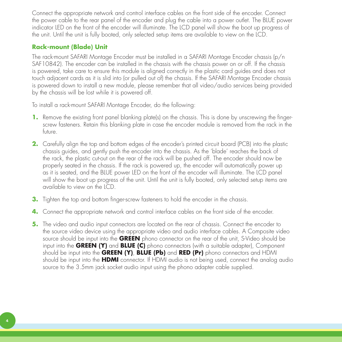Connect the appropriate network and control interface cables on the front side of the encoder. Connect the power cable to the rear panel of the encoder and plug the cable into a power outlet. The BLUE power indicator LED on the front of the encoder will illuminate. The LCD panel will show the boot up progress of the unit. Until the unit is fully booted, only selected setup items are available to view on the LCD.

#### **Rack-mount (Blade) Unit**

The rack-mount SAFARI Montage Encoder must be installed in a SAFARI Montage Encoder chassis (p/n SAF10842). The encoder can be installed in the chassis with the chassis power on or off. If the chassis is powered, take care to ensure this module is aligned correctly in the plastic card guides and does not touch adjacent cards as it is slid into (or pulled out of) the chassis. If the SAFARI Montage Encoder chassis is powered down to install a new module, please remember that all video/audio services being provided by the chassis will be lost while it is powered off.

To install a rack-mount SAFARI Montage Encoder, do the following:

- **1.** Remove the existing front panel blanking plate(s) on the chassis. This is done by unscrewing the fingerscrew fasteners. Retain this blanking plate in case the encoder module is removed from the rack in the future.
- **2.** Carefully align the top and bottom edges of the encoder's printed circuit board (PCB) into the plastic chassis guides, and gently push the encoder into the chassis. As the 'blade' reaches the back of the rack, the plastic cut-out on the rear of the rack will be pushed off. The encoder should now be properly seated in the chassis. If the rack is powered up, the encoder will automatically power up as it is seated, and the BLUE power LED on the front of the encoder will illuminate. The LCD panel will show the boot up progress of the unit. Until the unit is fully booted, only selected setup items are available to view on the LCD.
- **3.** Tighten the top and bottom finger-screw fasteners to hold the encoder in the chassis.
- **4.** Connect the appropriate network and control interface cables on the front side of the encoder.
- **5.** The video and audio input connectors are located on the rear of chassis. Connect the encoder to the source video device using the appropriate video and audio interface cables. A Composite video source should be input into the **GREEN** phono connector on the rear of the unit, S-Video should be input into the **GREEN (Y)** and **BLUE (C)** phono connectors (with a suitable adapter), Component should be input into the **GREEN (Y)**, **BLUE (Pb)** and **RED (Pr)** phono connectors and HDMI should be input into the **HDMI** connector. If HDMI audio is not being used, connect the analog audio source to the 3.5mm jack socket audio input using the phono adapter cable supplied.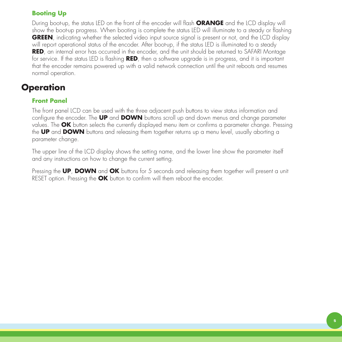#### **Booting Up**

During boot-up, the status LED on the front of the encoder will flash **ORANGE** and the LCD display will show the boot-up progress. When booting is complete the status LED will illuminate to a steady or flashing **GREEN**, indicating whether the selected video input source signal is present or not, and the LCD display will report operational status of the encoder. After boot-up, if the status LED is illuminated to a steady **RED**, an internal error has occurred in the encoder, and the unit should be returned to SAFARI Montage for service. If the status LED is flashing **RED**, then a software upgrade is in progress, and it is important that the encoder remains powered up with a valid network connection until the unit reboots and resumes normal operation.

## **Operation**

#### **Front Panel**

The front panel LCD can be used with the three adjacent push buttons to view status information and configure the encoder. The **UP** and **DOWN** buttons scroll up and down menus and change parameter values. The **OK** button selects the currently displayed menu item or confirms a parameter change. Pressing the **UP** and **DOWN** buttons and releasing them together returns up a menu level, usually aborting a parameter change.

The upper line of the LCD display shows the setting name, and the lower line show the parameter itself and any instructions on how to change the current setting.

Pressing the **UP**, **DOWN** and **OK** buttons for 5 seconds and releasing them together will present a unit RESET option. Pressing the **OK** button to confirm will them reboot the encoder.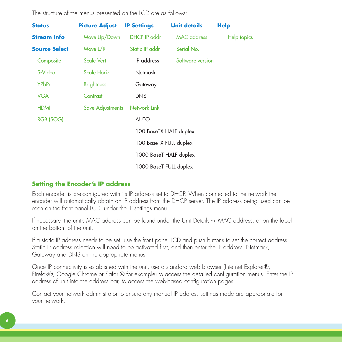The structure of the menus presented on the LCD are as follows:

| <b>Status</b>        | <b>Picture Adjust</b> | <b>IP Settings</b>     | <b>Unit details</b> | <b>Help</b> |
|----------------------|-----------------------|------------------------|---------------------|-------------|
| <b>Stream Info</b>   | Move Up/Down          | DHCP IP addr           | <b>MAC</b> address  | Help topics |
| <b>Source Select</b> | Move L/R              | Static IP addr         | Serial No.          |             |
| Composite            | Scale Vert            | IP address             | Software version    |             |
| S-Video              | Scale Horiz           | <b>Netmask</b>         |                     |             |
| <b>YPbPr</b>         | <b>Brightness</b>     | Gateway                |                     |             |
| <b>VGA</b>           | Contrast              | <b>DNS</b>             |                     |             |
| <b>HDMI</b>          | Save Adjustments      | Network Link           |                     |             |
| RGB (SOG)            |                       | <b>AUTO</b>            |                     |             |
|                      |                       | 100 BaseTX HALF duplex |                     |             |
|                      |                       | 100 BaseTX FULL duplex |                     |             |
|                      |                       | 1000 BaseT HALF duplex |                     |             |
|                      |                       | 1000 BaseT FULL duplex |                     |             |

### **Setting the Encoder's IP address**

Each encoder is pre-configured with its IP address set to DHCP. When connected to the network the encoder will automatically obtain an IP address from the DHCP server. The IP address being used can be seen on the front panel LCD, under the IP settings menu.

If necessary, the unit's MAC address can be found under the Unit Details -> MAC address, or on the label on the bottom of the unit.

If a static IP address needs to be set, use the front panel LCD and push buttons to set the correct address. Static IP address selection will need to be activated first, and then enter the IP address, Netmask, Gateway and DNS on the appropriate menus.

Once IP connectivity is established with the unit, use a standard web browser (Internet Explorer®, Firefox®, Google Chrome or Safari® for example) to access the detailed configuration menus. Enter the IP address of unit into the address bar, to access the web-based configuration pages.

Contact your network administrator to ensure any manual IP address settings made are appropriate for your network.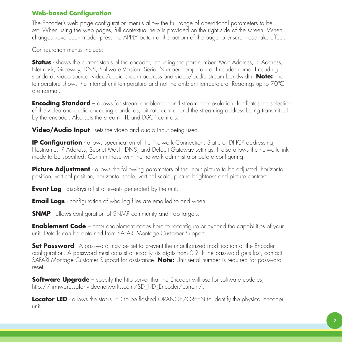#### **Web-based Configuration**

The Encoder's web page configuration menus allow the full range of operational parameters to be set. When using the web pages, full contextual help is provided on the right side of the screen. When changes have been made, press the APPLY button at the bottom of the page to ensure these take effect.

Configuration menus include:

**Status** - shows the current status of the encoder, including the part number, Mac Address, IP Address, Netmask, Gateway, DNS, Software Version, Serial Number, Temperature, Encoder name, Encoding standard, video source, video/audio stream address and video/audio stream bandwidth. **Note:** The temperature shows the internal unit temperature and not the ambient temperature. Readings up to 70ºC are normal.

**Encoding Standard** – allows for stream enablement and stream encapsulation, facilitates the selection of the video and audio encoding standards, bit rate control and the streaming address being transmitted by the encoder. Also sets the stream TTL and DSCP controls.

**Video/Audio Input** - sets the video and audio input being used.

**IP Configuration** - allows specification of the Network Connection; Static or DHCP addressing, Hostname, IP Address, Subnet Mask, DNS, and Default Gateway settings. It also allows the network link mode to be specified. Confirm these with the network administrator before configuring.

**Picture Adjustment** - allows the following parameters of the input picture to be adjusted: horizontal position, vertical position, horizontal scale, vertical scale, picture brightness and picture contrast.

**Event Log** - displays a list of events generated by the unit.

**Email Logs** - configuration of who log files are emailed to and when.

**SNMP** - allows configuration of SNMP community and trap targets.

**Enablement Code** – enter enablement codes here to reconfigure or expand the capabilities of your unit. Details can be obtained from SAFARI Montage Customer Support.

**Set Password** - A password may be set to prevent the unauthorized modification of the Encoder configuration. A password must consist of exactly six digits from 0-9. If the password gets lost, contact SAFARI Montage Customer Support for assistance. **Note:** Unit serial number is required for password reset.

**Software Upgrade** – specify the http server that the Encoder will use for software updates, http://firmware.safarivideonetworks.com/SD\_HD\_Encoder/current/.

**Locator LED** - allows the status LED to be flashed ORANGE/GREEN to identify the physical encoder unit.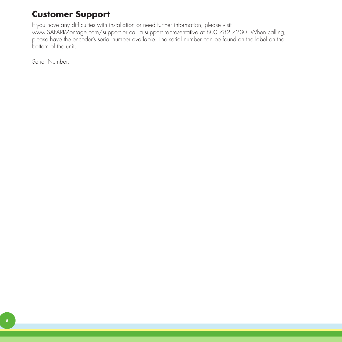## **Customer Support**

If you have any difficulties with installation or need further information, please visit www.SAFARIMontage.com/support or call a support representative at 800.782.7230. When calling, please have the encoder's serial number available. The serial number can be found on the label on the bottom of the unit.

Serial Number: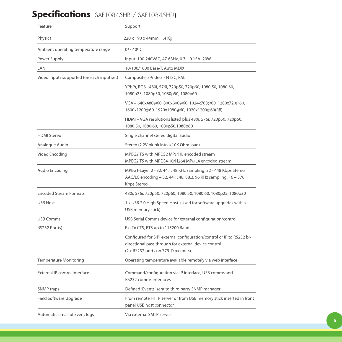## **Specifications** (SAF10845HB / SAF10845HD**)**

| Feature                                    | Support                                                                                                                                                              |
|--------------------------------------------|----------------------------------------------------------------------------------------------------------------------------------------------------------------------|
| Physical                                   | 220 x 190 x 44mm, 1.4 Kg                                                                                                                                             |
| Ambient operating temperature range        | $0^{\circ} - 40^{\circ}$ C                                                                                                                                           |
| Power Supply                               | Input: 100-240VAC, 47-63Hz, 0.3 - 0.15A, 20W                                                                                                                         |
| LAN                                        | 10/100/1000 Base-T, Auto MDIX                                                                                                                                        |
| Video Inputs supported (on each input set) | Composite, S-Video - NTSC, PAL                                                                                                                                       |
|                                            | YPbPr, RGB - 480i, 576i, 720p50, 720p60, 1080i50, 1080i60,<br>1080p25, 1080p30, 1080p50, 1080p60                                                                     |
|                                            | VGA - 640x480@60, 800x600@60, 1024x768@60, 1280x720@60,<br>1600x1200@60, 1920x1080@60, 1920x1200@60(RB)                                                              |
|                                            | HDMI - VGA resolutions listed plus 480i, 576i, 720p50, 720p60,<br>1080i50, 1080i60, 1080p50, 1080p60                                                                 |
| <b>HDMI</b> Stereo                         | Single channel stereo digital audio                                                                                                                                  |
| Analogue Audio                             | Stereo (2.2V pk-pk into a 10K Ohm load)                                                                                                                              |
| Video Encoding                             | MPEG2 TS with MPEG2 MP@HL encoded stream<br>MPEG2 TS with MPEG4-10/H264 MP@L4 encoded stream                                                                         |
| Audio Encoding                             | MPEG1-Layer 2 - 32, 44.1, 48 KHz sampling, 32 - 448 Kbps Stereo<br>AAC/LC encoding - 32, 44.1, 48, 88.2, 96 KHz sampling, 16 - 576<br>Kbps Stereo                    |
| <b>Encoded Stream Formats</b>              | 480i, 576i, 720p50, 720p60, 1080i50, 1080i60, 1080p25, 1080p30                                                                                                       |
| <b>USB Host</b>                            | 1 x USB 2.0 High Speed Host (Used for software upgrades with a<br>USB memory stick)                                                                                  |
| <b>USB Comms</b>                           | USB Serial Comms device for external configuration/control                                                                                                           |
| RS232 Port(s)                              | Rx, Tx CTS, RTS up to 115200 Baud                                                                                                                                    |
|                                            | Configured for SIPI external configuration/control or IP to RS232 bi-<br>directional pass through for external device control<br>(2 x RS232 ports on 779-D-xx units) |
| Temperature Monitoring                     | Operating temperature available remotely via web interface                                                                                                           |
| External IP control interface              | Command/configuration via IP interface, USB comms and<br>RS232 comms interfaces                                                                                      |
| <b>SNMP</b> traps                          | Defined 'Events' sent to third party SNMP manager                                                                                                                    |
| Field Software Upgrade                     | From remote HTTP server or from USB memory stick inserted in front<br>panel USB host connector                                                                       |
| Automatic email of Event logs              | Via external SMTP server                                                                                                                                             |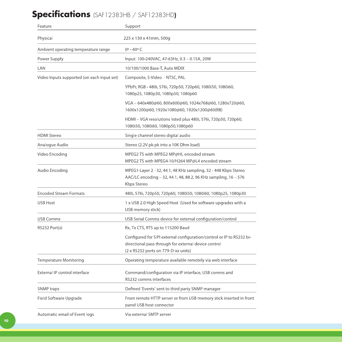## **Specifications** (SAF12383HB / SAF12383HD**)**

| Feature                                    | Support                                                                                                                                                              |
|--------------------------------------------|----------------------------------------------------------------------------------------------------------------------------------------------------------------------|
| Physical                                   | 225 x 130 x 41mm, 500g                                                                                                                                               |
| Ambient operating temperature range        | $0^{\circ} - 40^{\circ}$ C                                                                                                                                           |
| Power Supply                               | Input: 100-240VAC, 47-63Hz, 0.3 - 0.15A, 20W                                                                                                                         |
| LAN                                        | 10/100/1000 Base-T, Auto MDIX                                                                                                                                        |
| Video Inputs supported (on each input set) | Composite, S-Video - NTSC, PAL                                                                                                                                       |
|                                            | YPbPr, RGB - 480i, 576i, 720p50, 720p60, 1080i50, 1080i60,<br>1080p25, 1080p30, 1080p50, 1080p60                                                                     |
|                                            | VGA - 640x480@60, 800x600@60, 1024x768@60, 1280x720@60,<br>1600x1200@60, 1920x1080@60, 1920x1200@60(RB)                                                              |
|                                            | HDMI - VGA resolutions listed plus 480i, 576i, 720p50, 720p60,<br>1080i50, 1080i60, 1080p50, 1080p60                                                                 |
| <b>HDMI</b> Stereo                         | Single channel stereo digital audio                                                                                                                                  |
| Analogue Audio                             | Stereo (2.2V pk-pk into a 10K Ohm load)                                                                                                                              |
| Video Encoding                             | MPEG2 TS with MPEG2 MP@HL encoded stream<br>MPEG2 TS with MPEG4-10/H264 MP@L4 encoded stream                                                                         |
| Audio Encoding                             | MPEG1-Layer 2 - 32, 44.1, 48 KHz sampling, 32 - 448 Kbps Stereo<br>AAC/LC encoding - 32, 44.1, 48, 88.2, 96 KHz sampling, 16 - 576<br>Kbps Stereo                    |
| <b>Encoded Stream Formats</b>              | 480i, 576i, 720p50, 720p60, 1080i50, 1080i60, 1080p25, 1080p30                                                                                                       |
| <b>USB Host</b>                            | 1 x USB 2.0 High Speed Host (Used for software upgrades with a<br>USB memory stick)                                                                                  |
| <b>USB Comms</b>                           | USB Serial Comms device for external configuration/control                                                                                                           |
| RS232 Port(s)                              | Rx, Tx CTS, RTS up to 115200 Baud                                                                                                                                    |
|                                            | Configured for SIPI external configuration/control or IP to RS232 bi-<br>directional pass through for external device control<br>(2 x RS232 ports on 779-D-xx units) |
| <b>Temperature Monitoring</b>              | Operating temperature available remotely via web interface                                                                                                           |
| External IP control interface              | Command/configuration via IP interface, USB comms and<br>RS232 comms interfaces                                                                                      |
| <b>SNMP</b> traps                          | Defined 'Events' sent to third party SNMP manager                                                                                                                    |
| Field Software Upgrade                     | From remote HTTP server or from USB memory stick inserted in front<br>panel USB host connector                                                                       |
| Automatic email of Event logs              | Via external SMTP server                                                                                                                                             |